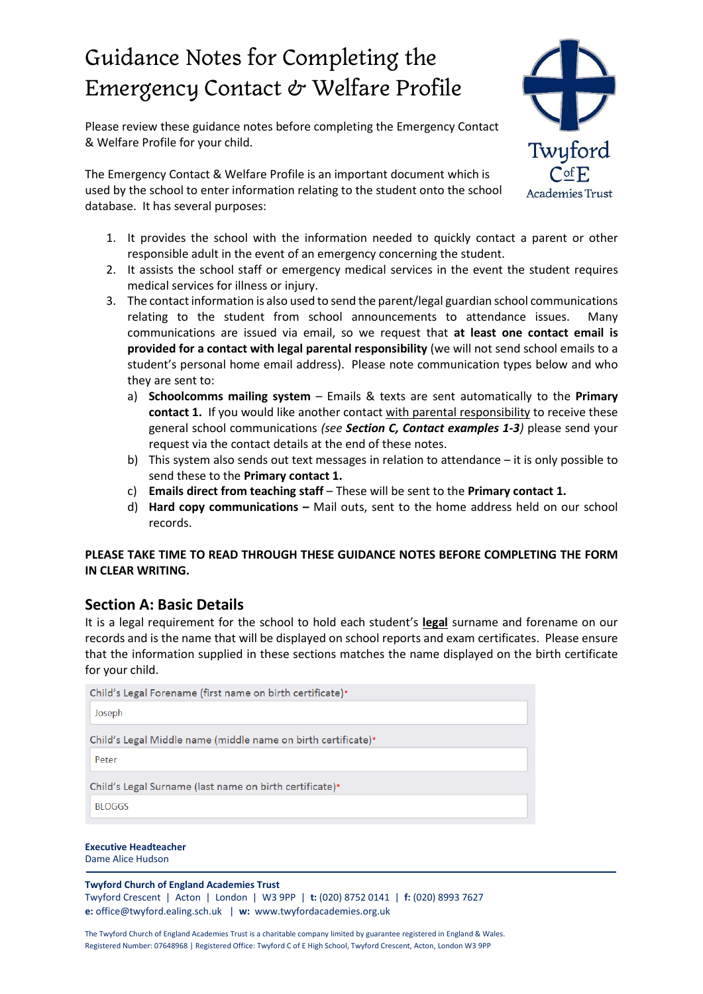# Guidance Notes for Completing the Emergency Contact & Welfare Profile

Please review these guidance notes before completing the Emergency Contact & Welfare Profile for your child.

The Emergency Contact & Welfare Profile is an important document which is used by the school to enter information relating to the student onto the school database. It has several purposes:



- 1. It provides the school with the information needed to quickly contact a parent or other responsible adult in the event of an emergency concerning the student.
- 2. It assists the school staff or emergency medical services in the event the student requires medical services for illness or injury.
- 3. The contact information is also used to send the parent/legal guardian school communications relating to the student from school announcements to attendance issues. Many communications are issued via email, so we request that **at least one contact email is provided for a contact with legal parental responsibility** (we will not send school emails to a student's personal home email address). Please note communication types below and who they are sent to:
	- a) **Schoolcomms mailing system** Emails & texts are sent automatically to the **Primary contact 1.** If you would like another contact with parental responsibility to receive these general school communications *(see Section C, Contact examples 1-3)* please send your request via the contact details at the end of these notes.
	- b) This system also sends out text messages in relation to attendance it is only possible to send these to the **Primary contact 1.**
	- c) **Emails direct from teaching staff** These will be sent to the **Primary contact 1.**
	- d) **Hard copy communications –** Mail outs, sent to the home address held on our school records.

## **PLEASE TAKE TIME TO READ THROUGH THESE GUIDANCE NOTES BEFORE COMPLETING THE FORM IN CLEAR WRITING.**

# **Section A: Basic Details**

It is a legal requirement for the school to hold each student's **legal** surname and forename on our records and is the name that will be displayed on school reports and exam certificates. Please ensure that the information supplied in these sections matches the name displayed on the birth certificate for your child.

| Joseph<br>Child's Legal Middle name (middle name on birth certificate)*<br>Peter |  |  |
|----------------------------------------------------------------------------------|--|--|
|                                                                                  |  |  |
|                                                                                  |  |  |
|                                                                                  |  |  |
| Child's Legal Surname (last name on birth certificate)*                          |  |  |
| <b>BLOGGS</b>                                                                    |  |  |

**Executive Headteacher** Dame Alice Hudson

#### **Twyford Church of England Academies Trust**

Twyford Crescent | Acton | London | W3 9PP | **t:** (020) 8752 0141 | **f:** (020) 8993 7627 **e:** [office@twyford.ealing.sch.uk](mailto:office@twyford.ealing.sch.uk) | **w:** www.twyfordacademies.org.uk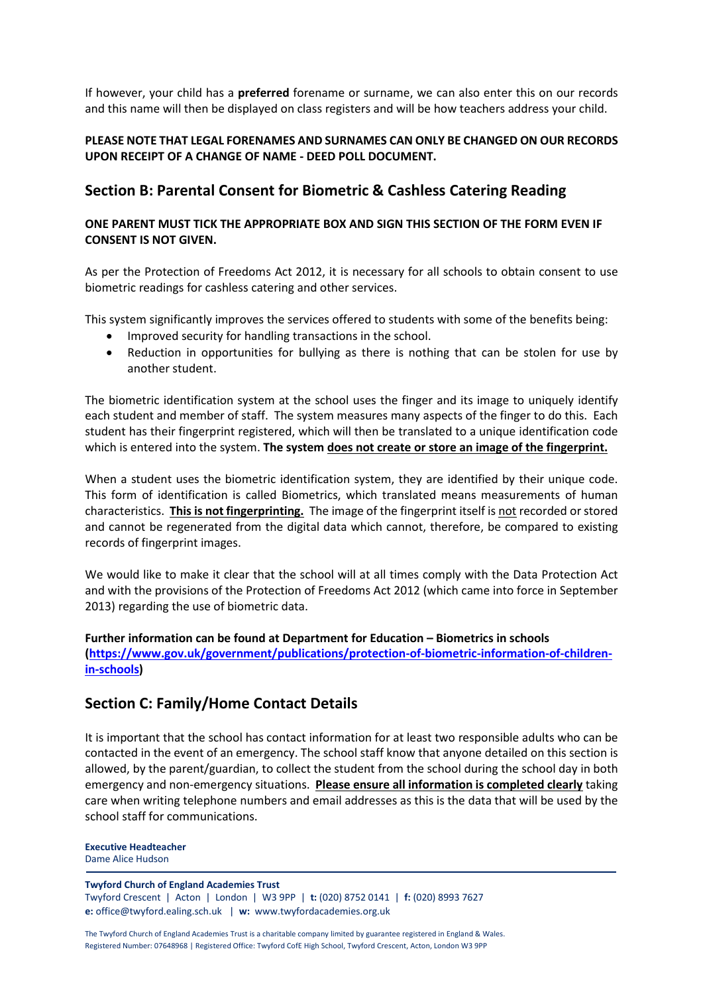If however, your child has a **preferred** forename or surname, we can also enter this on our records and this name will then be displayed on class registers and will be how teachers address your child.

## **PLEASE NOTE THAT LEGAL FORENAMES AND SURNAMES CAN ONLY BE CHANGED ON OUR RECORDS UPON RECEIPT OF A CHANGE OF NAME - DEED POLL DOCUMENT.**

# **Section B: Parental Consent for Biometric & Cashless Catering Reading**

## **ONE PARENT MUST TICK THE APPROPRIATE BOX AND SIGN THIS SECTION OF THE FORM EVEN IF CONSENT IS NOT GIVEN.**

As per the Protection of Freedoms Act 2012, it is necessary for all schools to obtain consent to use biometric readings for cashless catering and other services.

This system significantly improves the services offered to students with some of the benefits being:

- Improved security for handling transactions in the school.
- Reduction in opportunities for bullying as there is nothing that can be stolen for use by another student.

The biometric identification system at the school uses the finger and its image to uniquely identify each student and member of staff. The system measures many aspects of the finger to do this. Each student has their fingerprint registered, which will then be translated to a unique identification code which is entered into the system. **The system does not create or store an image of the fingerprint.**

When a student uses the biometric identification system, they are identified by their unique code. This form of identification is called Biometrics, which translated means measurements of human characteristics. **This is not fingerprinting.** The image of the fingerprint itself is not recorded orstored and cannot be regenerated from the digital data which cannot, therefore, be compared to existing records of fingerprint images.

We would like to make it clear that the school will at all times comply with the Data Protection Act and with the provisions of the Protection of Freedoms Act 2012 (which came into force in September 2013) regarding the use of biometric data.

**Further information can be found at Department for Education – Biometrics in schools [\(https://www.gov.uk/government/publications/protection-of-biometric-information-of-children](https://www.gov.uk/government/publications/protection-of-biometric-information-of-children-in-schools)[in-schools\)](https://www.gov.uk/government/publications/protection-of-biometric-information-of-children-in-schools)**

# **Section C: Family/Home Contact Details**

It is important that the school has contact information for at least two responsible adults who can be contacted in the event of an emergency. The school staff know that anyone detailed on this section is allowed, by the parent/guardian, to collect the student from the school during the school day in both emergency and non-emergency situations. **Please ensure all information is completed clearly** taking care when writing telephone numbers and email addresses as this is the data that will be used by the school staff for communications.

**Executive Headteacher** Dame Alice Hudson

#### **Twyford Church of England Academies Trust**

Twyford Crescent | Acton | London | W3 9PP | **t:** (020) 8752 0141 | **f:** (020) 8993 7627 **e:** [office@twyford.ealing.sch.uk](mailto:office@twyford.ealing.sch.uk) | **w:** www.twyfordacademies.org.uk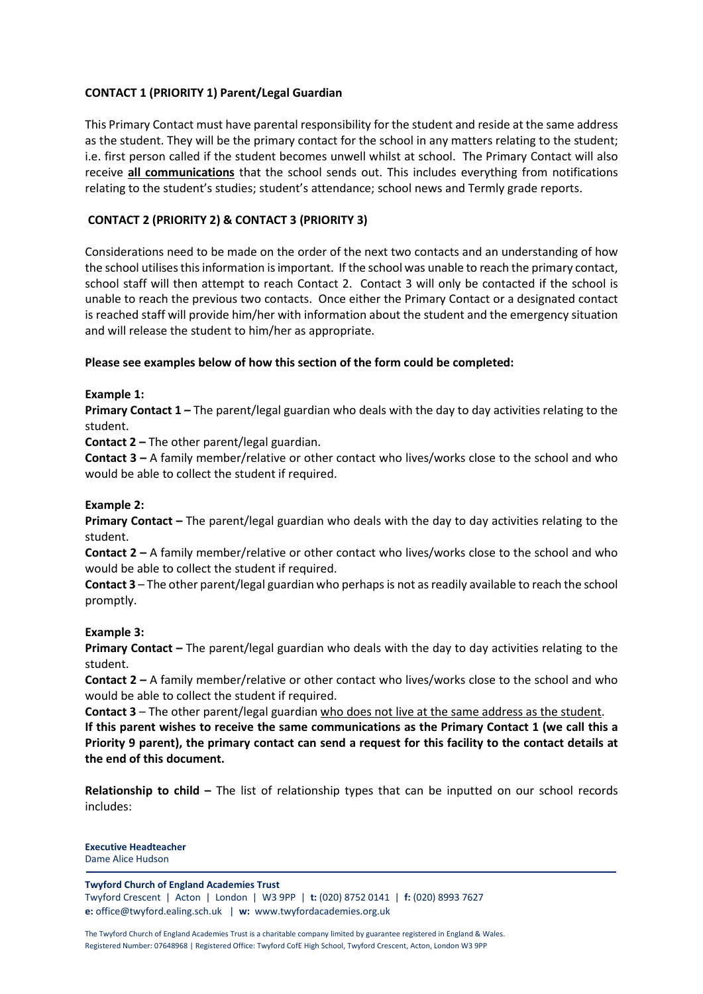## **CONTACT 1 (PRIORITY 1) Parent/Legal Guardian**

This Primary Contact must have parental responsibility for the student and reside at the same address as the student. They will be the primary contact for the school in any matters relating to the student; i.e. first person called if the student becomes unwell whilst at school. The Primary Contact will also receive **all communications** that the school sends out. This includes everything from notifications relating to the student's studies; student's attendance; school news and Termly grade reports.

## **CONTACT 2 (PRIORITY 2) & CONTACT 3 (PRIORITY 3)**

Considerations need to be made on the order of the next two contacts and an understanding of how the school utilisesthisinformation isimportant. If the school was unable to reach the primary contact, school staff will then attempt to reach Contact 2. Contact 3 will only be contacted if the school is unable to reach the previous two contacts. Once either the Primary Contact or a designated contact is reached staff will provide him/her with information about the student and the emergency situation and will release the student to him/her as appropriate.

## **Please see examples below of how this section of the form could be completed:**

## **Example 1:**

**Primary Contact 1 –** The parent/legal guardian who deals with the day to day activities relating to the student.

**Contact 2 –** The other parent/legal guardian.

**Contact 3 –** A family member/relative or other contact who lives/works close to the school and who would be able to collect the student if required.

#### **Example 2:**

**Primary Contact –** The parent/legal guardian who deals with the day to day activities relating to the student.

**Contact 2 –** A family member/relative or other contact who lives/works close to the school and who would be able to collect the student if required.

**Contact 3** – The other parent/legal guardian who perhapsis not asreadily available to reach the school promptly.

#### **Example 3:**

**Primary Contact –** The parent/legal guardian who deals with the day to day activities relating to the student.

**Contact 2 –** A family member/relative or other contact who lives/works close to the school and who would be able to collect the student if required.

**Contact 3** – The other parent/legal guardian who does not live at the same address as the student. **If this parent wishes to receive the same communications as the Primary Contact 1 (we call this a** Priority 9 parent), the primary contact can send a request for this facility to the contact details at **the end of this document.**

**Relationship to child –** The list of relationship types that can be inputted on our school records includes:

**Executive Headteacher** Dame Alice Hudson

#### **Twyford Church of England Academies Trust**

Twyford Crescent | Acton | London | W3 9PP | **t:** (020) 8752 0141 | **f:** (020) 8993 7627 **e:** [office@twyford.ealing.sch.uk](mailto:office@twyford.ealing.sch.uk) | **w:** www.twyfordacademies.org.uk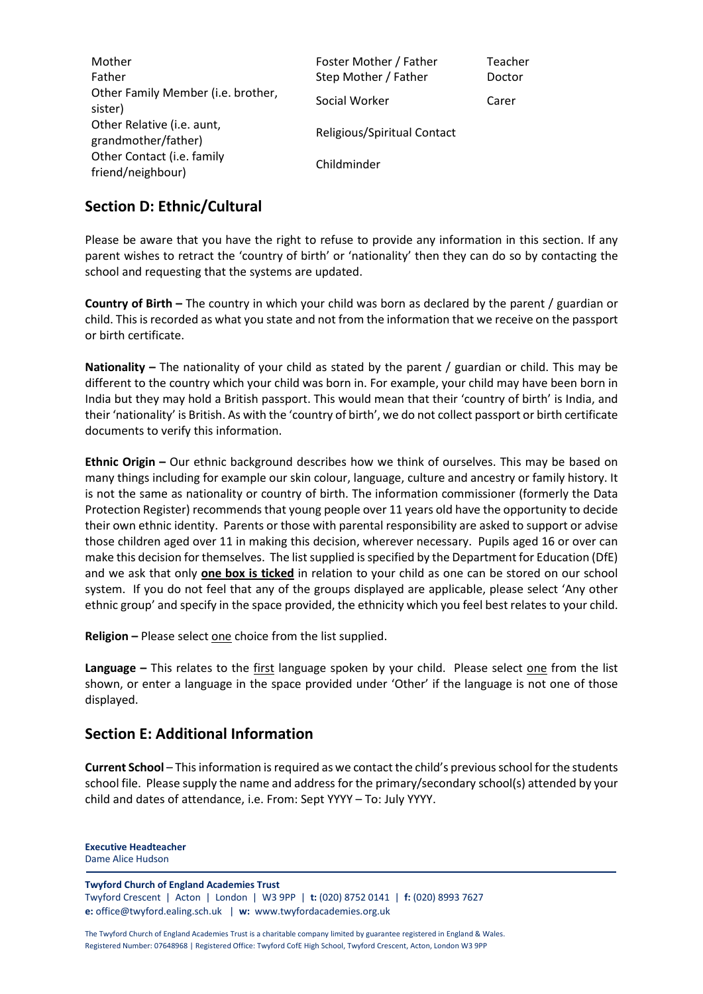| Mother<br>Father                                  | Foster Mother / Father<br>Step Mother / Father | Teacher<br>Doctor |
|---------------------------------------------------|------------------------------------------------|-------------------|
| Other Family Member (i.e. brother,<br>sister)     | Social Worker                                  | Carer             |
| Other Relative (i.e. aunt,<br>grandmother/father) | Religious/Spiritual Contact                    |                   |
| Other Contact (i.e. family<br>friend/neighbour)   | Childminder                                    |                   |

# **Section D: Ethnic/Cultural**

Please be aware that you have the right to refuse to provide any information in this section. If any parent wishes to retract the 'country of birth' or 'nationality' then they can do so by contacting the school and requesting that the systems are updated.

**Country of Birth –** The country in which your child was born as declared by the parent / guardian or child. Thisis recorded as what you state and not from the information that we receive on the passport or birth certificate.

**Nationality –** The nationality of your child as stated by the parent / guardian or child. This may be different to the country which your child was born in. For example, your child may have been born in India but they may hold a British passport. This would mean that their 'country of birth' is India, and their 'nationality' is British. As with the 'country of birth', we do not collect passport or birth certificate documents to verify this information.

**Ethnic Origin –** Our ethnic background describes how we think of ourselves. This may be based on many things including for example our skin colour, language, culture and ancestry or family history. It is not the same as nationality or country of birth. The information commissioner (formerly the Data Protection Register) recommends that young people over 11 years old have the opportunity to decide their own ethnic identity. Parents or those with parental responsibility are asked to support or advise those children aged over 11 in making this decision, wherever necessary. Pupils aged 16 or over can make this decision for themselves. The list supplied is specified by the Department for Education (DfE) and we ask that only **one box is ticked** in relation to your child as one can be stored on our school system. If you do not feel that any of the groups displayed are applicable, please select 'Any other ethnic group' and specify in the space provided, the ethnicity which you feel best relates to your child.

**Religion** – Please select one choice from the list supplied.

**Language –** This relates to the first language spoken by your child. Please select one from the list shown, or enter a language in the space provided under 'Other' if the language is not one of those displayed.

# **Section E: Additional Information**

**Current School** – Thisinformation isrequired as we contact the child's previousschool for the students school file. Please supply the name and address for the primary/secondary school(s) attended by your child and dates of attendance, i.e. From: Sept YYYY – To: July YYYY.

**Executive Headteacher** Dame Alice Hudson

#### **Twyford Church of England Academies Trust**

Twyford Crescent | Acton | London | W3 9PP | **t:** (020) 8752 0141 | **f:** (020) 8993 7627 **e:** [office@twyford.ealing.sch.uk](mailto:office@twyford.ealing.sch.uk) | **w:** www.twyfordacademies.org.uk